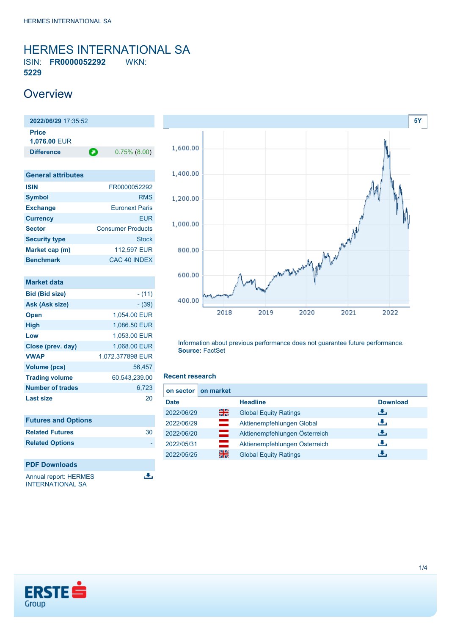### <span id="page-0-0"></span>HERMES INTERNATIONAL SA ISIN: **FR0000052292** WKN: **5229**

### **Overview**

**2022/06/29** 17:35:52 **Price 1,076.00** EUR **Difference 0.75% (8.00)** 

| <b>General attributes</b> |                          |
|---------------------------|--------------------------|
| <b>ISIN</b>               | FR0000052292             |
| <b>Symbol</b>             | <b>RMS</b>               |
| <b>Exchange</b>           | <b>Euronext Paris</b>    |
| <b>Currency</b>           | <b>EUR</b>               |
| <b>Sector</b>             | <b>Consumer Products</b> |
| <b>Security type</b>      | <b>Stock</b>             |
| Market cap (m)            | 112,597 EUR              |
| <b>Benchmark</b>          | <b>CAC 40 INDEX</b>      |

| $- (11)$         |
|------------------|
| $- (39)$         |
| 1.054.00 EUR     |
| 1,086.50 EUR     |
| 1.053.00 EUR     |
| 1.068.00 EUR     |
| 1,072.377898 EUR |
| 56,457           |
| 60,543,239.00    |
| 6,723            |
| 20               |
|                  |

| <b>Futures and Options</b> |    |
|----------------------------|----|
| <b>Related Futures</b>     | 30 |
| <b>Related Options</b>     |    |
|                            |    |
| <b>PDF Downloads</b>       |    |

Annual report: HERMES **INTERNATIONAL SA** 



Information about previous performance does not guarantee future performance. **Source:** FactSet

#### **Recent research**

區

| on sector   | on market |                               |                 |
|-------------|-----------|-------------------------------|-----------------|
| <b>Date</b> |           | <b>Headline</b>               | <b>Download</b> |
| 2022/06/29  | 을중        | <b>Global Equity Ratings</b>  | رالى            |
| 2022/06/29  | $=$       | Aktienempfehlungen Global     | رنان            |
| 2022/06/20  | ━         | Aktienempfehlungen Österreich | Æ,              |
| 2022/05/31  | $=$       | Aktienempfehlungen Österreich | رالى            |
| 2022/05/25  | 꾉쭍        | <b>Global Equity Ratings</b>  | Æ,              |

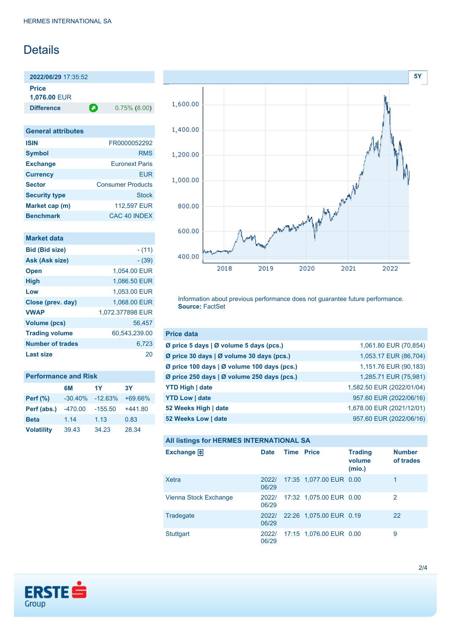# Details

**2022/06/29** 17:35:52 **Price**

**1,076.00** EUR

**Difference 0.75% (8.00)** 

| <b>General attributes</b> |                          |
|---------------------------|--------------------------|
| <b>ISIN</b>               | FR0000052292             |
| <b>Symbol</b>             | <b>RMS</b>               |
| <b>Exchange</b>           | <b>Euronext Paris</b>    |
| <b>Currency</b>           | FUR                      |
| <b>Sector</b>             | <b>Consumer Products</b> |
| <b>Security type</b>      | <b>Stock</b>             |
| Market cap (m)            | 112,597 EUR              |
| <b>Benchmark</b>          | CAC 40 INDEX             |

| <b>Market data</b>      |                  |
|-------------------------|------------------|
| <b>Bid (Bid size)</b>   | - (11)           |
| Ask (Ask size)          | $- (39)$         |
| <b>Open</b>             | 1.054.00 EUR     |
| <b>High</b>             | 1,086.50 EUR     |
| Low                     | 1,053.00 EUR     |
| Close (prev. day)       | 1,068.00 EUR     |
| <b>VWAP</b>             | 1,072.377898 EUR |
| <b>Volume (pcs)</b>     | 56.457           |
| <b>Trading volume</b>   | 60,543,239.00    |
| <b>Number of trades</b> | 6.723            |
| Last size               | 20               |

| <b>Performance and Risk</b> |           |           |           |  |
|-----------------------------|-----------|-----------|-----------|--|
|                             | 6M        | 1Y        | 3Υ        |  |
| <b>Perf</b> (%)             | $-30.40%$ | $-12.63%$ | $+69.66%$ |  |
| Perf (abs.)                 | $-470.00$ | $-155.50$ | $+441.80$ |  |
| <b>Beta</b>                 | 1.14      | 1.13      | 0.83      |  |
| <b>Volatility</b>           | 39.43     | 34.23     | 28.34     |  |



Information about previous performance does not guarantee future performance. **Source:** FactSet

| <b>Price data</b>                                         |                           |
|-----------------------------------------------------------|---------------------------|
| $\emptyset$ price 5 days $\emptyset$ volume 5 days (pcs.) | 1,061.80 EUR (70,854)     |
| Ø price 30 days   Ø volume 30 days (pcs.)                 | 1,053.17 EUR (86,704)     |
| Ø price 100 days   Ø volume 100 days (pcs.)               | 1,151.76 EUR (90,183)     |
| Ø price 250 days   Ø volume 250 days (pcs.)               | 1,285.71 EUR (75,981)     |
| <b>YTD High   date</b>                                    | 1,582.50 EUR (2022/01/04) |
| <b>YTD Low   date</b>                                     | 957.60 EUR (2022/06/16)   |
| 52 Weeks High   date                                      | 1,678.00 EUR (2021/12/01) |
| 52 Weeks Low   date                                       | 957.60 EUR (2022/06/16)   |

| All listings for HERMES INTERNATIONAL SA |                |                   |                         |                                    |                            |
|------------------------------------------|----------------|-------------------|-------------------------|------------------------------------|----------------------------|
| Exchange $\Box$                          | Date           | <b>Time Price</b> |                         | <b>Trading</b><br>volume<br>(mio.) | <b>Number</b><br>of trades |
| Xetra                                    | 2022/<br>06/29 |                   | 17:35 1.077.00 EUR 0.00 |                                    | 1                          |
| Vienna Stock Exchange                    | 2022/<br>06/29 |                   | 17:32 1.075.00 EUR 0.00 |                                    | 2                          |
| Tradegate                                | 2022/<br>06/29 |                   | 22:26 1,075.00 EUR 0.19 |                                    | 22                         |
| Stuttgart                                | 2022/<br>06/29 |                   | 17:15 1,076.00 EUR 0.00 |                                    | 9                          |

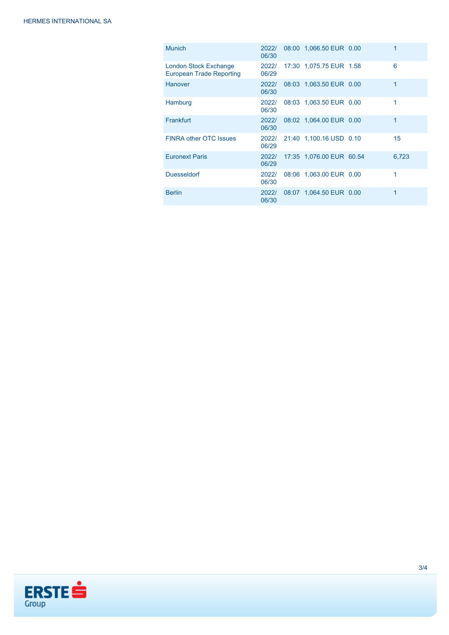| <b>Munich</b>                                                   | 2022/<br>06/30 | 08:00 1,066.50 EUR 0.00  | 1     |
|-----------------------------------------------------------------|----------------|--------------------------|-------|
| <b>London Stock Exchange</b><br><b>European Trade Reporting</b> | 2022/<br>06/29 | 17:30 1,075.75 EUR 1.58  | 6     |
| <b>Hanover</b>                                                  | 2022/<br>06/30 | 08:03 1,063.50 EUR 0.00  | 1     |
| Hamburg                                                         | 2022/<br>06/30 | 08:03 1.063.50 EUR 0.00  | 1     |
| Frankfurt                                                       | 2022/<br>06/30 | 08:02 1.064.00 EUR 0.00  | 1     |
| <b>FINRA other OTC Issues</b>                                   | 2022/<br>06/29 | 21:40 1.100.16 USD 0.10  | 15    |
| <b>Euronext Paris</b>                                           | 2022/<br>06/29 | 17:35 1,076.00 EUR 60.54 | 6.723 |
| <b>Duesseldorf</b>                                              | 2022/<br>06/30 | 08:06 1,063.00 EUR 0.00  | 1     |
| <b>Berlin</b>                                                   | 2022/<br>06/30 | 08:07 1.064.50 EUR 0.00  | 1     |